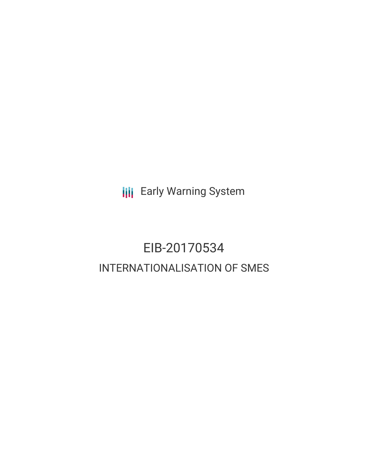**III** Early Warning System

# EIB-20170534 INTERNATIONALISATION OF SMES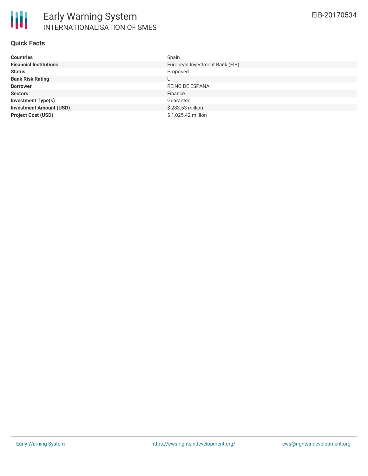### **Quick Facts**

| <b>Countries</b>               | Spain                          |
|--------------------------------|--------------------------------|
| <b>Financial Institutions</b>  | European Investment Bank (EIB) |
| <b>Status</b>                  | Proposed                       |
| <b>Bank Risk Rating</b>        | U                              |
| <b>Borrower</b>                | REINO DE ESPANA                |
| <b>Sectors</b>                 | Finance                        |
| <b>Investment Type(s)</b>      | Guarantee                      |
| <b>Investment Amount (USD)</b> | $$283.53$ million              |
| <b>Project Cost (USD)</b>      | \$1,025.42 million             |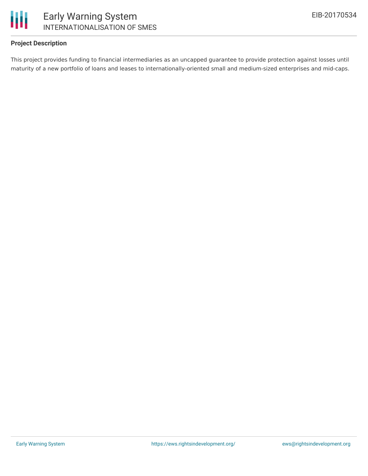

### **Project Description**

This project provides funding to financial intermediaries as an uncapped guarantee to provide protection against losses until maturity of a new portfolio of loans and leases to internationally-oriented small and medium-sized enterprises and mid-caps.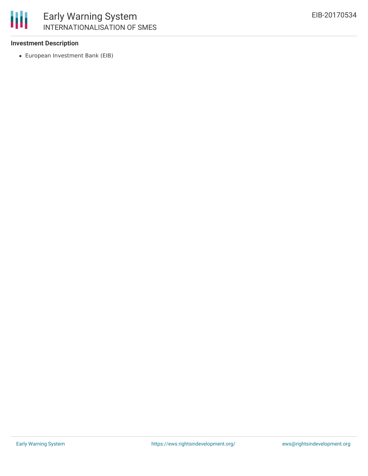

## Early Warning System INTERNATIONALISATION OF SMES

### **Investment Description**

European Investment Bank (EIB)